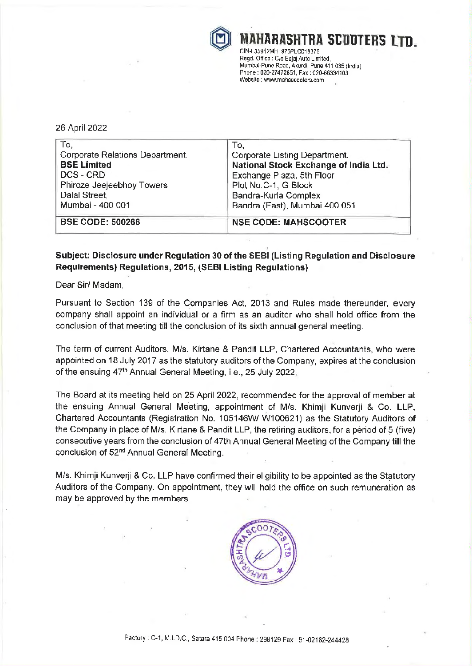

\HARASHTRA SCOOTERS LTD.<br>35912MH1975PLC018376 Regd. Office : Clo Bajaj Auto Limited,

Mumbai-Pune Road, Akurdi, Pune 411 035 (India) Phone: 020-27472851, Fax: 020-66334103 Website : www.mahascooters.com

## 26 April 2022

| To,                             | To,                                   |  |
|---------------------------------|---------------------------------------|--|
| Corporate Relations Department. | Corporate Listing Department.         |  |
| <b>BSE Limited</b>              | National Stock Exchange of India Ltd. |  |
| DCS - CRD                       | Exchange Plaza, 5th Floor             |  |
| Phiroze Jeejeebhoy Towers       | Plot No.C-1, G Block                  |  |
| Dalal Street,                   | Bandra-Kurla Complex                  |  |
| Mumbai - 400 001                | Bandra (East), Mumbai 400 051.        |  |
| <b>BSE CODE: 500266</b>         | <b>NSE CODE: MAHSCOOTER</b>           |  |

## Subject: Disclosure under Regulation 30 of the SEBI (Listing Regulation and Disclosure Requirements} Regulations, 2015, (SEBI Listing Regulations)

Dear Sir/ Madam,

Pursuant to Section 139 of the Companies Act, 2013 and Rules made thereunder, every company shall appoint an individual or a firm as an auditor who shall hold office from the conclusion of that meeting till the conclusion of its sixth annual general meeting.

The term of current Auditors, Mis. Kirtane & Pandit LLP, Chartered Accountants, who were appointed on 18 July 2017 as the statutory auditors of the Company, expires at the conclusion of the ensuing 47<sup>th</sup> Annual General Meeting, i.e., 25 July 2022.

The Board at its meeting held on 25 April 2022, recommended for the approval of member at the ensuing Annual General Meeting, appointment of M/s. Khimji Kunverji & Co. LLP, Chartered Accountants (Registration No. 105146W/ W100621) as the Statutory Auditors of the Company in place of Mis. Kirtane & Pandit LLP, the retiring auditors, for a period of 5 (five) consecutive years from the conclusion of 47th Annual General Meeting of the Company till the conclusion of 52<sup>nd</sup> Annual General Meeting.

M/s. Khimji Kunverji & Co. LLP have confirmed their eligibility to be appointed as the Statutory Auditors of the Company. On appointment, they will hold the office on such remuneration as may be approved by the members.